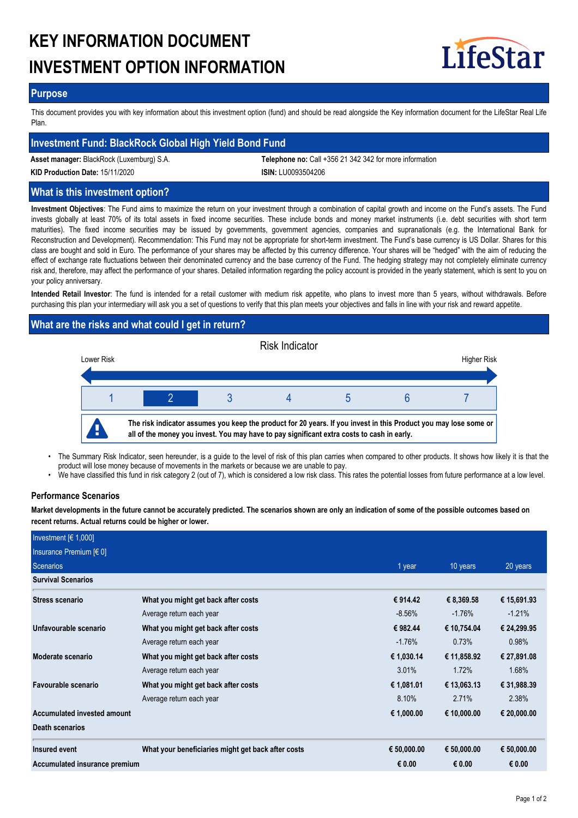# **KEY INFORMATION DOCUMENT INVESTMENT OPTION INFORMATION**



#### **Purpose**

This document provides you with key information about this investment option (fund) and should be read alongside the Key information document for the LifeStar Real Life Plan.

## **Investment Fund: BlackRock Global High Yield Bond Fund**

**Asset manager:** BlackRock (Luxemburg) S.A. **Telephone no:** Call +356 21 342 342 for more information

**KID Production Date:** 15/11/2020 **ISIN:** LU0093504206

# **What is this investment option?**

**Investment Objectives**: The Fund aims to maximize the return on your investment through a combination of capital growth and income on the Fund's assets. The Fund invests globally at least 70% of its total assets in fixed income securities. These include bonds and money market instruments (i.e. debt securities with short term maturities). The fixed income securities may be issued by governments, government agencies, companies and supranationals (e.g. the International Bank for Reconstruction and Development). Recommendation: This Fund may not be appropriate for short-term investment. The Fund's base currency is US Dollar. Shares for this class are bought and sold in Euro. The performance of your shares may be affected by this currency difference. Your shares will be "hedged" with the aim of reducing the effect of exchange rate fluctuations between their denominated currency and the base currency of the Fund. The hedging strategy may not completely eliminate currency risk and, therefore, may affect the performance of your shares. Detailed information regarding the policy account is provided in the yearly statement, which is sent to you on your policy anniversary.

**Intended Retail Investor**: The fund is intended for a retail customer with medium risk appetite, who plans to invest more than 5 years, without withdrawals. Before purchasing this plan your intermediary will ask you a set of questions to verify that this plan meets your objectives and falls in line with your risk and reward appetite.

# **What are the risks and what could I get in return?**



- The Summary Risk Indicator, seen hereunder, is a guide to the level of risk of this plan carries when compared to other products. It shows how likely it is that the product will lose money because of movements in the markets or because we are unable to pay. •
- We have classified this fund in risk category 2 (out of 7), which is considered a low risk class. This rates the potential losses from future performance at a low level.

# **Performance Scenarios**

**Market developments in the future cannot be accurately predicted. The scenarios shown are only an indication of some of the possible outcomes based on recent returns. Actual returns could be higher or lower.**

| Investment $F(1,000)$         |                                                    |             |             |             |
|-------------------------------|----------------------------------------------------|-------------|-------------|-------------|
| Insurance Premium $[6 0]$     |                                                    |             |             |             |
| Scenarios                     |                                                    | 1 year      | 10 years    | 20 years    |
| <b>Survival Scenarios</b>     |                                                    |             |             |             |
| <b>Stress scenario</b>        | What you might get back after costs                | € 914.42    | € 8,369.58  | € 15,691.93 |
|                               | Average return each year                           | $-8.56\%$   | $-1.76%$    | $-1.21%$    |
| Unfavourable scenario         | What you might get back after costs                | € 982.44    | € 10,754.04 | € 24,299.95 |
|                               | Average return each year                           | $-1.76%$    | 0.73%       | 0.98%       |
| Moderate scenario             | What you might get back after costs                | € 1,030.14  | € 11,858.92 | € 27,891.08 |
|                               | Average return each year                           | 3.01%       | 1.72%       | 1.68%       |
| Favourable scenario           | What you might get back after costs                | € 1,081.01  | € 13,063.13 | € 31,988.39 |
|                               | Average return each year                           | 8.10%       | 2.71%       | 2.38%       |
| Accumulated invested amount   |                                                    | € 1,000.00  | € 10,000.00 | € 20,000.00 |
| <b>Death scenarios</b>        |                                                    |             |             |             |
| Insured event                 | What your beneficiaries might get back after costs | € 50,000.00 | € 50,000.00 | € 50,000.00 |
| Accumulated insurance premium |                                                    | € 0.00      | € 0.00      | € 0.00      |